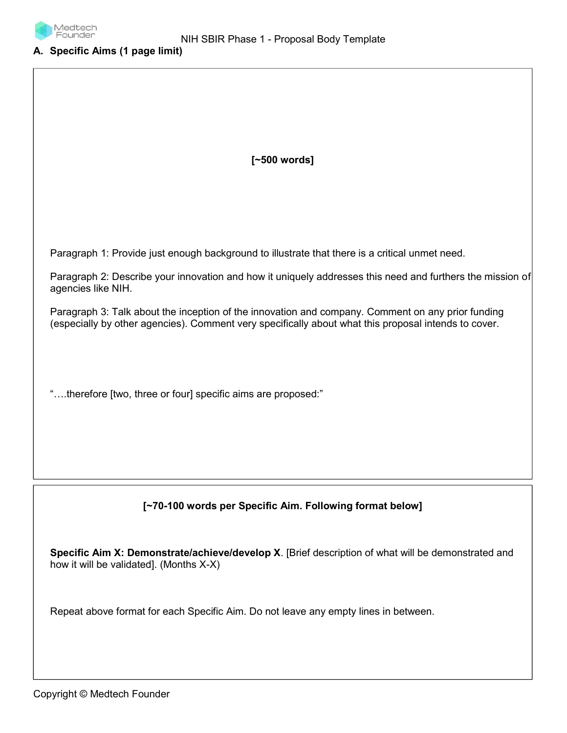

#### A. Specific Aims (1 page limit)

[~500 words]

Paragraph 1: Provide just enough background to illustrate that there is a critical unmet need.

Paragraph 2: Describe your innovation and how it uniquely addresses this need and furthers the mission of agencies like NIH.

Paragraph 3: Talk about the inception of the innovation and company. Comment on any prior funding (especially by other agencies). Comment very specifically about what this proposal intends to cover.

"….therefore [two, three or four] specific aims are proposed:"

# [~70-100 words per Specific Aim. Following format below]

Specific Aim X: Demonstrate/achieve/develop X. [Brief description of what will be demonstrated and how it will be validated]. (Months X-X)

Repeat above format for each Specific Aim. Do not leave any empty lines in between.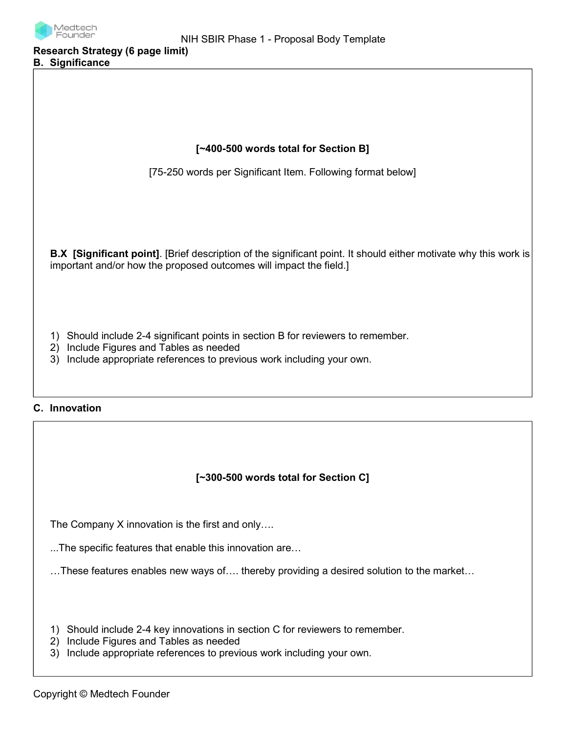

Research Strategy (6 page limit) B. Significance

| [~400-500 words total for Section B]                                                                                                                                                                           |
|----------------------------------------------------------------------------------------------------------------------------------------------------------------------------------------------------------------|
| [75-250 words per Significant Item. Following format below]                                                                                                                                                    |
|                                                                                                                                                                                                                |
| B.X [Significant point]. [Brief description of the significant point. It should either motivate why this work is<br>important and/or how the proposed outcomes will impact the field.]                         |
| Should include 2-4 significant points in section B for reviewers to remember.<br>1)<br>Include Figures and Tables as needed<br>2)<br>Include appropriate references to previous work including your own.<br>3) |
| C. Innovation                                                                                                                                                                                                  |
|                                                                                                                                                                                                                |
| [~300-500 words total for Section C]                                                                                                                                                                           |
| The Company X innovation is the first and only                                                                                                                                                                 |
| The specific features that enable this innovation are                                                                                                                                                          |
| These features enables new ways of thereby providing a desired solution to the market                                                                                                                          |
| Should include 2-4 key innovations in section C for reviewers to remember.<br>1)<br>Include Figures and Tables as needed<br>2)                                                                                 |

3) Include appropriate references to previous work including your own.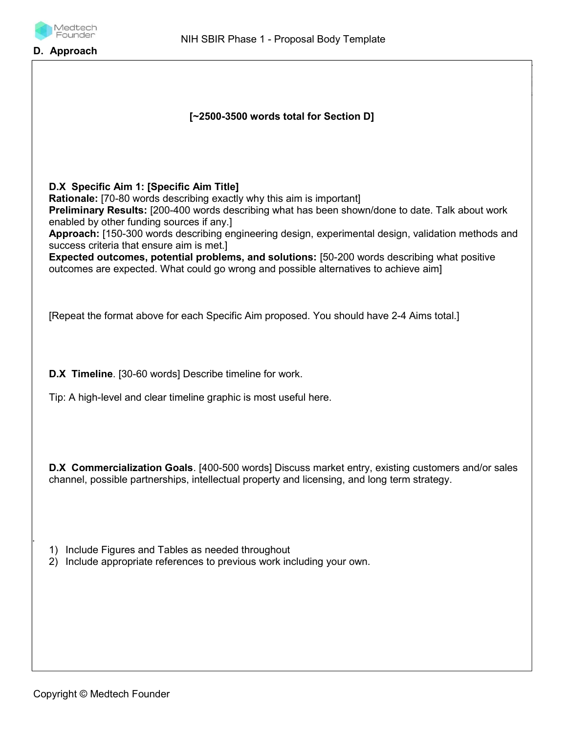

D. Approach

| [~2500-3500 words total for Section D]                                                                                                                                                                                                                                                                                                                                                                                                                                                                                                                                                                         |
|----------------------------------------------------------------------------------------------------------------------------------------------------------------------------------------------------------------------------------------------------------------------------------------------------------------------------------------------------------------------------------------------------------------------------------------------------------------------------------------------------------------------------------------------------------------------------------------------------------------|
| D.X Specific Aim 1: [Specific Aim Title]<br>Rationale: [70-80 words describing exactly why this aim is important]<br>Preliminary Results: [200-400 words describing what has been shown/done to date. Talk about work<br>enabled by other funding sources if any.]<br>Approach: [150-300 words describing engineering design, experimental design, validation methods and<br>success criteria that ensure aim is met.]<br>Expected outcomes, potential problems, and solutions: [50-200 words describing what positive<br>outcomes are expected. What could go wrong and possible alternatives to achieve aim] |
| [Repeat the format above for each Specific Aim proposed. You should have 2-4 Aims total.]                                                                                                                                                                                                                                                                                                                                                                                                                                                                                                                      |
| D.X Timeline. [30-60 words] Describe timeline for work.<br>Tip: A high-level and clear timeline graphic is most useful here.                                                                                                                                                                                                                                                                                                                                                                                                                                                                                   |
| <b>D.X Commercialization Goals</b> . [400-500 words] Discuss market entry, existing customers and/or sales<br>channel, possible partnerships, intellectual property and licensing, and long term strategy.                                                                                                                                                                                                                                                                                                                                                                                                     |
| Include Figures and Tables as needed throughout<br>1)<br>Include appropriate references to previous work including your own.<br>2)                                                                                                                                                                                                                                                                                                                                                                                                                                                                             |
|                                                                                                                                                                                                                                                                                                                                                                                                                                                                                                                                                                                                                |